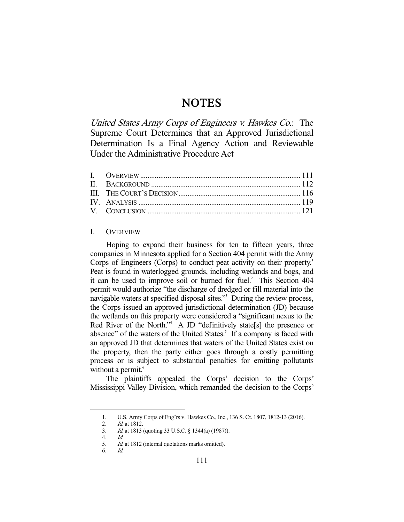# **NOTES**

United States Army Corps of Engineers v. Hawkes Co.: The Supreme Court Determines that an Approved Jurisdictional Determination Is a Final Agency Action and Reviewable Under the Administrative Procedure Act

## I. OVERVIEW

 Hoping to expand their business for ten to fifteen years, three companies in Minnesota applied for a Section 404 permit with the Army Corps of Engineers (Corps) to conduct peat activity on their property.<sup>1</sup> Peat is found in waterlogged grounds, including wetlands and bogs, and it can be used to improve soil or burned for fuel. $^2$  This Section 404 permit would authorize "the discharge of dredged or fill material into the navigable waters at specified disposal sites."<sup>3</sup> During the review process, the Corps issued an approved jurisdictional determination (JD) because the wetlands on this property were considered a "significant nexus to the Red River of the North."<sup>4</sup> A JD "definitively state[s] the presence or absence" of the waters of the United States.<sup>5</sup> If a company is faced with an approved JD that determines that waters of the United States exist on the property, then the party either goes through a costly permitting process or is subject to substantial penalties for emitting pollutants without a permit.<sup>6</sup>

 The plaintiffs appealed the Corps' decision to the Corps' Mississippi Valley Division, which remanded the decision to the Corps'

 <sup>1.</sup> U.S. Army Corps of Eng'rs v. Hawkes Co., Inc., 136 S. Ct. 1807, 1812-13 (2016).

<sup>2.</sup> *Id.* at 1812.<br>3. *Id.* at 1813

Id. at 1813 (quoting 33 U.S.C. § 1344(a) (1987)).

 <sup>4.</sup> Id.

 <sup>5.</sup> Id. at 1812 (internal quotations marks omitted).

 <sup>6.</sup> Id.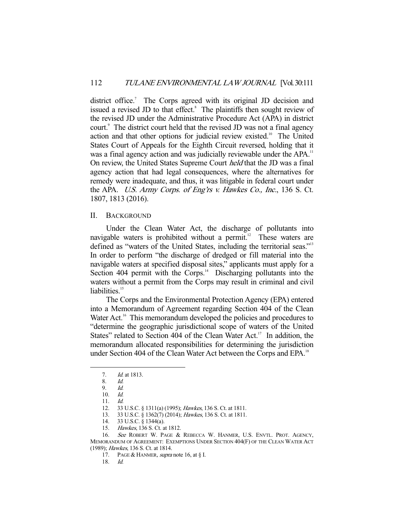district office.<sup>7</sup> The Corps agreed with its original JD decision and issued a revised JD to that effect.<sup>8</sup> The plaintiffs then sought review of the revised JD under the Administrative Procedure Act (APA) in district court.<sup>9</sup> The district court held that the revised JD was not a final agency action and that other options for judicial review existed.<sup>10</sup> The United States Court of Appeals for the Eighth Circuit reversed, holding that it was a final agency action and was judicially reviewable under the APA.<sup>11</sup> On review, the United States Supreme Court held that the JD was a final agency action that had legal consequences, where the alternatives for remedy were inadequate, and thus, it was litigable in federal court under the APA. U.S. Army Corps. of Eng'rs v. Hawkes Co., Inc., 136 S. Ct. 1807, 1813 (2016).

#### II. BACKGROUND

 Under the Clean Water Act, the discharge of pollutants into navigable waters is prohibited without a permit. $12$  These waters are defined as "waters of the United States, including the territorial seas."<sup>13</sup> In order to perform "the discharge of dredged or fill material into the navigable waters at specified disposal sites," applicants must apply for a Section 404 permit with the Corps.<sup>14</sup> Discharging pollutants into the waters without a permit from the Corps may result in criminal and civil liabilities.<sup>15</sup>

 The Corps and the Environmental Protection Agency (EPA) entered into a Memorandum of Agreement regarding Section 404 of the Clean Water Act.<sup>16</sup> This memorandum developed the policies and procedures to "determine the geographic jurisdictional scope of waters of the United States" related to Section 404 of the Clean Water Act.<sup>17</sup> In addition, the memorandum allocated responsibilities for determining the jurisdiction under Section 404 of the Clean Water Act between the Corps and EPA.<sup>18</sup>

 <sup>7.</sup> Id. at 1813.

 <sup>8.</sup> Id.

 <sup>9.</sup> Id.

 <sup>10.</sup> Id.

 <sup>11.</sup> Id.

 <sup>12. 33</sup> U.S.C. § 1311(a) (1995); Hawkes, 136 S. Ct. at 1811.

<sup>13. 33</sup> U.S.C. § 1362(7) (2014); Hawkes, 136 S. Ct. at 1811.<br>14. 33 U.S.C. § 1344(a).

<sup>33</sup> U.S.C. § 1344(a).

 <sup>15.</sup> Hawkes, 136 S. Ct. at 1812.

<sup>16.</sup> See ROBERT W. PAGE & REBECCA W. HANMER, U.S. ENVTL. PROT. AGENCY, MEMORANDUM OF AGREEMENT: EXEMPTIONS UNDER SECTION 404(F) OF THE CLEAN WATER ACT (1989); Hawkes, 136 S. Ct. at 1814.

<sup>17.</sup> PAGE & HANMER, supra note 16, at § I.

 <sup>18.</sup> Id.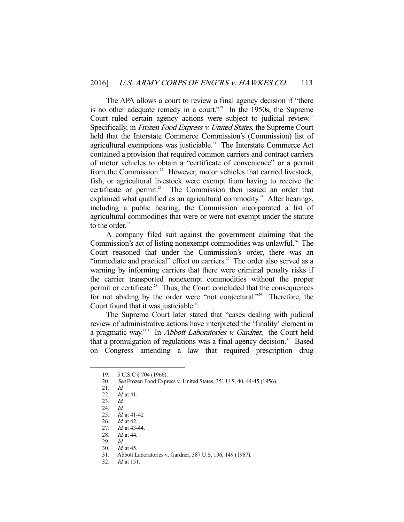The APA allows a court to review a final agency decision if "there is no other adequate remedy in a court."<sup>19</sup> In the 1950s, the Supreme Court ruled certain agency actions were subject to judicial review.<sup>20</sup> Specifically, in *Frozen Food Express v. United States*, the Supreme Court held that the Interstate Commerce Commission's (Commission) list of agricultural exemptions was justiciable.<sup>21</sup> The Interstate Commerce Act contained a provision that required common carriers and contract carriers of motor vehicles to obtain a "certificate of convenience" or a permit from the Commission.<sup>22</sup> However, motor vehicles that carried livestock, fish, or agricultural livestock were exempt from having to receive the certificate or permit.<sup>23</sup> The Commission then issued an order that explained what qualified as an agricultural commodity.<sup>24</sup> After hearings, including a public hearing, the Commission incorporated a list of agricultural commodities that were or were not exempt under the statute to the order. $25$ 

 A company filed suit against the government claiming that the Commission's act of listing nonexempt commodities was unlawful.<sup>26</sup> The Court reasoned that under the Commission's order, there was an "immediate and practical" effect on carriers. $27$  The order also served as a warning by informing carriers that there were criminal penalty risks if the carrier transported nonexempt commodities without the proper permit or certificate.<sup>28</sup> Thus, the Court concluded that the consequences for not abiding by the order were "not conjectural."<sup>29</sup> Therefore, the Court found that it was justiciable. $30$ 

 The Supreme Court later stated that "cases dealing with judicial review of administrative actions have interpreted the 'finality' element in a pragmatic way."<sup>31</sup> In *Abbott Laboratories v. Gardner*, the Court held that a promulgation of regulations was a final agency decision. $32$  Based on Congress amending a law that required prescription drug

-

29. Id.

 <sup>19. 5</sup> U.S.C § 704 (1966).

 <sup>20.</sup> See Frozen Food Express v. United States, 351 U.S. 40, 44-45 (1956).

 <sup>21.</sup> Id.

 <sup>22.</sup> Id. at 41.

<sup>23.</sup> *Id.*<br>24. *Id* 

 $24.$ 

 <sup>25.</sup> Id. at 41-42

<sup>26.</sup> *Id.* at 42.<br>27. *Id.* at 43-

Id. at 43-44.

<sup>28.</sup> *Id.* at 44.

 <sup>30.</sup> Id. at 45.

 <sup>31.</sup> Abbott Laboratories v. Gardner, 387 U.S. 136, 149 (1967).

 <sup>32.</sup> Id. at 151.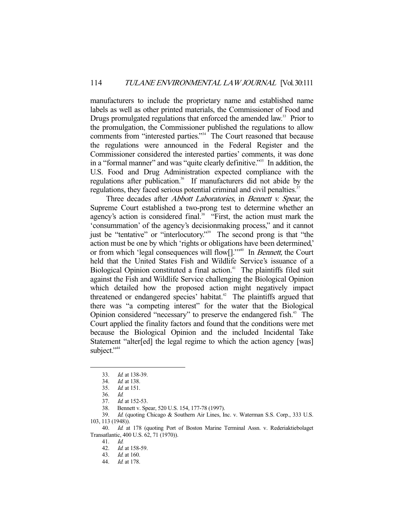manufacturers to include the proprietary name and established name labels as well as other printed materials, the Commissioner of Food and Drugs promulgated regulations that enforced the amended law.<sup>33</sup> Prior to the promulgation, the Commissioner published the regulations to allow comments from "interested parties."<sup>34</sup> The Court reasoned that because the regulations were announced in the Federal Register and the Commissioner considered the interested parties' comments, it was done in a "formal manner" and was "quite clearly definitive."<sup>35</sup> In addition, the U.S. Food and Drug Administration expected compliance with the regulations after publication.<sup>36</sup> If manufacturers did not abide by the regulations, they faced serious potential criminal and civil penalties.<sup>37</sup>

Three decades after *Abbott Laboratories*, in *Bennett v. Spear*, the Supreme Court established a two-prong test to determine whether an agency's action is considered final.<sup>38</sup> "First, the action must mark the 'consummation' of the agency's decisionmaking process," and it cannot just be "tentative" or "interlocutory."39 The second prong is that "the action must be one by which 'rights or obligations have been determined,' or from which 'legal consequences will flow[]."<sup>40</sup> In Bennett, the Court held that the United States Fish and Wildlife Service's issuance of a Biological Opinion constituted a final action.<sup>41</sup> The plaintiffs filed suit against the Fish and Wildlife Service challenging the Biological Opinion which detailed how the proposed action might negatively impact threatened or endangered species' habitat.<sup>42</sup> The plaintiffs argued that there was "a competing interest" for the water that the Biological Opinion considered "necessary" to preserve the endangered fish.<sup>43</sup> The Court applied the finality factors and found that the conditions were met because the Biological Opinion and the included Incidental Take Statement "alter[ed] the legal regime to which the action agency [was] subject."<sup>44</sup>

-

41. Id.

 <sup>33.</sup> Id. at 138-39.

 <sup>34.</sup> Id. at 138.

 <sup>35.</sup> Id. at 151.

 <sup>36.</sup> Id.

 <sup>37.</sup> Id. at 152-53.

 <sup>38.</sup> Bennett v. Spear, 520 U.S. 154, 177-78 (1997).

 <sup>39.</sup> Id. (quoting Chicago & Southern Air Lines, Inc. v. Waterman S.S. Corp., 333 U.S. 103, 113 (1948)).

 <sup>40.</sup> Id. at 178 (quoting Port of Boston Marine Terminal Assn. v. Rederiaktiebolaget Transatlantic, 400 U.S. 62, 71 (1970)).

 <sup>42.</sup> Id. at 158-59.

 <sup>43.</sup> Id. at 160.

 <sup>44.</sup> Id. at 178.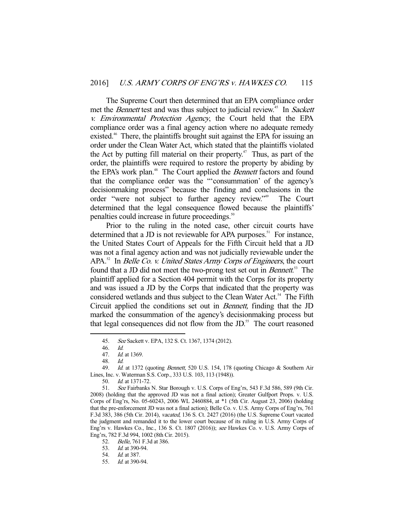The Supreme Court then determined that an EPA compliance order met the *Bennett* test and was thus subject to judicial review.<sup>45</sup> In *Sackett* v. Environmental Protection Agency, the Court held that the EPA compliance order was a final agency action where no adequate remedy existed.<sup>46</sup> There, the plaintiffs brought suit against the EPA for issuing an order under the Clean Water Act, which stated that the plaintiffs violated the Act by putting fill material on their property.<sup> $47$ </sup> Thus, as part of the order, the plaintiffs were required to restore the property by abiding by the EPA's work plan.<sup>48</sup> The Court applied the *Bennett* factors and found that the compliance order was the "'consummation' of the agency's decisionmaking process" because the finding and conclusions in the order "were not subject to further agency review."49 The Court determined that the legal consequence flowed because the plaintiffs' penalties could increase in future proceedings.<sup>50</sup>

 Prior to the ruling in the noted case, other circuit courts have determined that a JD is not reviewable for APA purposes.<sup>51</sup> For instance, the United States Court of Appeals for the Fifth Circuit held that a JD was not a final agency action and was not judicially reviewable under the APA.<sup>52</sup> In *Belle Co. v. United States Army Corps of Engineers*, the court found that a JD did not meet the two-prong test set out in *Bennett*.<sup>53</sup> The plaintiff applied for a Section 404 permit with the Corps for its property and was issued a JD by the Corps that indicated that the property was considered wetlands and thus subject to the Clean Water Act.<sup>54</sup> The Fifth Circuit applied the conditions set out in Bennett, finding that the JD marked the consummation of the agency's decisionmaking process but that legal consequences did not flow from the JD.<sup>55</sup> The court reasoned

-

52. Belle, 761 F.3d at 386.

 <sup>45.</sup> See Sackett v. EPA, 132 S. Ct. 1367, 1374 (2012).

 <sup>46.</sup> Id.

 <sup>47.</sup> Id. at 1369.

 <sup>48.</sup> Id.

<sup>49.</sup> Id. at 1372 (quoting Bennett, 520 U.S. 154, 178 (quoting Chicago & Southern Air Lines, Inc. v. Waterman S.S. Corp., 333 U.S. 103, 113 (1948)).

 <sup>50.</sup> Id. at 1371-72.

 <sup>51.</sup> See Fairbanks N. Star Borough v. U.S. Corps of Eng'rs, 543 F.3d 586, 589 (9th Cir. 2008) (holding that the approved JD was not a final action); Greater Gulfport Props. v. U.S. Corps of Eng'rs, No. 05-60243, 2006 WL 2460884, at \*1 (5th Cir. August 23, 2006) (holding that the pre-enforcement JD was not a final action); Belle Co. v. U.S. Army Corps of Eng'rs, 761 F.3d 383, 386 (5th Cir. 2014), vacated, 136 S. Ct. 2427 (2016) (the U.S. Supreme Court vacated the judgment and remanded it to the lower court because of its ruling in U.S. Army Corps of Eng'rs v. Hawkes Co., Inc., 136 S. Ct. 1807 (2016)); see Hawkes Co. v. U.S. Army Corps of Eng'rs, 782 F.3d 994, 1002 (8th Cir. 2015).

 <sup>53.</sup> Id. at 390-94.

 <sup>54.</sup> Id. at 387.

 <sup>55.</sup> Id. at 390-94.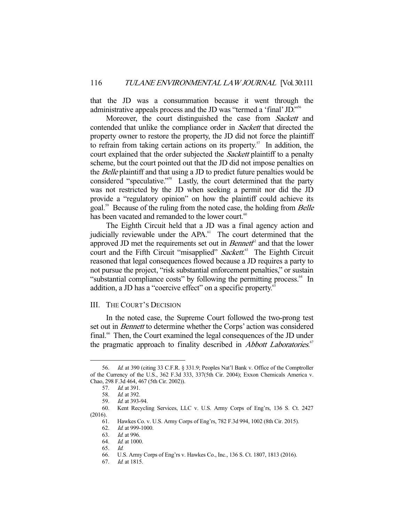that the JD was a consummation because it went through the administrative appeals process and the JD was "termed a 'final' JD."56

Moreover, the court distinguished the case from *Sackett* and contended that unlike the compliance order in Sackett that directed the property owner to restore the property, the JD did not force the plaintiff to refrain from taking certain actions on its property.<sup>57</sup> In addition, the court explained that the order subjected the *Sackett* plaintiff to a penalty scheme, but the court pointed out that the JD did not impose penalties on the Belle plaintiff and that using a JD to predict future penalties would be considered "speculative."58 Lastly, the court determined that the party was not restricted by the JD when seeking a permit nor did the JD provide a "regulatory opinion" on how the plaintiff could achieve its goal.<sup>59</sup> Because of the ruling from the noted case, the holding from *Belle* has been vacated and remanded to the lower court.<sup>60</sup>

 The Eighth Circuit held that a JD was a final agency action and judicially reviewable under the APA.<sup>61</sup> The court determined that the approved JD met the requirements set out in  $Bennet<sup>p2</sup>$  and that the lower court and the Fifth Circuit "misapplied" Sackett.<sup>63</sup> The Eighth Circuit reasoned that legal consequences flowed because a JD requires a party to not pursue the project, "risk substantial enforcement penalties," or sustain "substantial compliance costs" by following the permitting process.<sup>64</sup> In addition, a JD has a "coercive effect" on a specific property.<sup>65</sup>

#### III. THE COURT'S DECISION

 In the noted case, the Supreme Court followed the two-prong test set out in *Bennett* to determine whether the Corps' action was considered final.<sup>66</sup> Then, the Court examined the legal consequences of the JD under the pragmatic approach to finality described in *Abbott Laboratories.*<sup>67</sup>

 <sup>56.</sup> Id. at 390 (citing 33 C.F.R. § 331.9; Peoples Nat'l Bank v. Office of the Comptroller of the Currency of the U.S., 362 F.3d 333, 337(5th Cir. 2004); Exxon Chemicals America v. Chao, 298 F.3d 464, 467 (5th Cir. 2002)).

 <sup>57.</sup> Id. at 391.

 <sup>58.</sup> Id. at 392.

 <sup>59.</sup> Id. at 393-94.

 <sup>60.</sup> Kent Recycling Services, LLC v. U.S. Army Corps of Eng'rs, 136 S. Ct. 2427 (2016).

 <sup>61.</sup> Hawkes Co. v. U.S. Army Corps of Eng'rs, 782 F.3d 994, 1002 (8th Cir. 2015).

Id. at 999-1000.

 <sup>63.</sup> Id. at 996.

 <sup>64.</sup> Id. at 1000.

 <sup>65.</sup> Id.

 <sup>66.</sup> U.S. Army Corps of Eng'rs v. Hawkes Co., Inc., 136 S. Ct. 1807, 1813 (2016).

 <sup>67.</sup> Id. at 1815.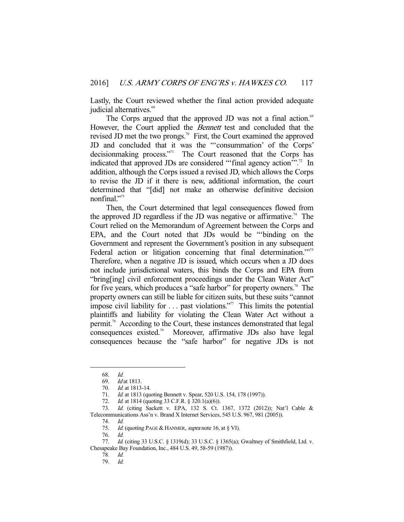Lastly, the Court reviewed whether the final action provided adequate judicial alternatives.<sup>68</sup>

The Corps argued that the approved JD was not a final action.<sup>69</sup> However, the Court applied the *Bennett* test and concluded that the revised JD met the two prongs.<sup>70</sup> First, the Court examined the approved JD and concluded that it was the "'consummation' of the Corps' decisionmaking process."<sup>1</sup> The Court reasoned that the Corps has indicated that approved JDs are considered "'final agency action".<sup>72</sup> In addition, although the Corps issued a revised JD, which allows the Corps to revise the JD if it there is new, additional information, the court determined that "[did] not make an otherwise definitive decision nonfinal."<sup>73</sup>

 Then, the Court determined that legal consequences flowed from the approved JD regardless if the JD was negative or affirmative.<sup>74</sup> The Court relied on the Memorandum of Agreement between the Corps and EPA, and the Court noted that JDs would be "'binding on the Government and represent the Government's position in any subsequent Federal action or litigation concerning that final determination."<sup>75</sup> Therefore, when a negative JD is issued, which occurs when a JD does not include jurisdictional waters, this binds the Corps and EPA from "bring[ing] civil enforcement proceedings under the Clean Water Act" for five years, which produces a "safe harbor" for property owners.<sup>76</sup> The property owners can still be liable for citizen suits, but these suits "cannot impose civil liability for  $\dots$  past violations."<sup>77</sup> This limits the potential plaintiffs and liability for violating the Clean Water Act without a permit.78 According to the Court, these instances demonstrated that legal consequences existed.79 Moreover, affirmative JDs also have legal consequences because the "safe harbor" for negative JDs is not

 <sup>68.</sup> Id.

 <sup>69.</sup> Id at 1813.

 <sup>70.</sup> Id. at 1813-14.

<sup>71.</sup> *Id.* at 1813 (quoting Bennett v. Spear, 520 U.S. 154, 178 (1997)).

<sup>72.</sup> *Id.* at 1814 (quoting 33 C.F.R. § 320.1(a)(6)).

 <sup>73.</sup> Id. (citing Sackett v. EPA, 132 S. Ct. 1367, 1372 (2012)); Nat'l Cable & Telecommunications Ass'n v. Brand X Internet Services, 545 U.S. 967, 981 (2005)).

 <sup>74.</sup> Id.

<sup>75.</sup> *Id.* (quoting PAGE & HANMER, supra note 16, at § VI).

 <sup>76.</sup> Id.

 <sup>77.</sup> Id. (citing 33 U.S.C. § 1319(d); 33 U.S.C. § 1365(a); Gwaltney of Smithfield, Ltd. v. Chesapeake Bay Foundation, Inc., 484 U.S. 49, 58-59 (1987)).

 <sup>78.</sup> Id.

 <sup>79.</sup> Id.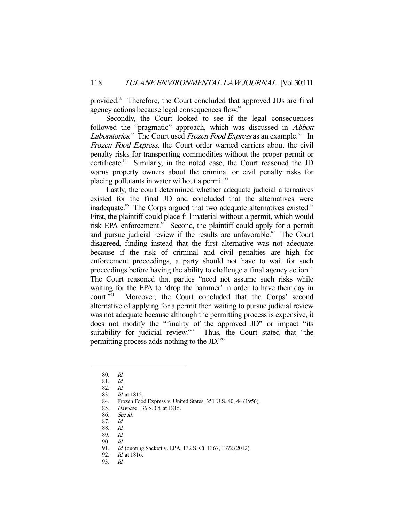provided.<sup>80</sup> Therefore, the Court concluded that approved JDs are final agency actions because legal consequences flow.<sup>81</sup>

 Secondly, the Court looked to see if the legal consequences followed the "pragmatic" approach, which was discussed in *Abbott Laboratories*.<sup>82</sup> The Court used *Frozen Food Express* as an example.<sup>83</sup> In Frozen Food Express, the Court order warned carriers about the civil penalty risks for transporting commodities without the proper permit or certificate. $84$  Similarly, in the noted case, the Court reasoned the JD warns property owners about the criminal or civil penalty risks for placing pollutants in water without a permit.<sup>85</sup>

 Lastly, the court determined whether adequate judicial alternatives existed for the final JD and concluded that the alternatives were inadequate.<sup>86</sup> The Corps argued that two adequate alternatives existed. $87$ First, the plaintiff could place fill material without a permit, which would risk EPA enforcement.<sup>88</sup> Second, the plaintiff could apply for a permit and pursue judicial review if the results are unfavorable.<sup>89</sup> The Court disagreed, finding instead that the first alternative was not adequate because if the risk of criminal and civil penalties are high for enforcement proceedings, a party should not have to wait for such proceedings before having the ability to challenge a final agency action.<sup>90</sup> The Court reasoned that parties "need not assume such risks while waiting for the EPA to 'drop the hammer' in order to have their day in court."91 Moreover, the Court concluded that the Corps' second alternative of applying for a permit then waiting to pursue judicial review was not adequate because although the permitting process is expensive, it does not modify the "finality of the approved JD" or impact "its suitability for judicial review."<sup>92</sup> Thus, the Court stated that "the permitting process adds nothing to the JD."93

-

84. Frozen Food Express v. United States, 351 U.S. 40, 44 (1956).

 <sup>80.</sup> Id.

 <sup>81.</sup> Id.

 <sup>82.</sup> Id.

 <sup>83.</sup> Id. at 1815.

 <sup>85.</sup> Hawkes, 136 S. Ct. at 1815.

 <sup>86.</sup> See id.

 <sup>87.</sup> Id.

 <sup>88.</sup> Id.

 <sup>89.</sup> Id.

<sup>90.</sup> Id.<br>91. Id.

Id. (quoting Sackett v. EPA, 132 S. Ct. 1367, 1372 (2012).

<sup>92.</sup> *Id.* at 1816.

 <sup>93.</sup> Id.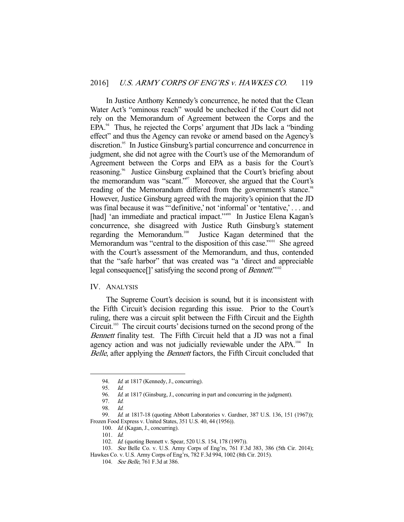In Justice Anthony Kennedy's concurrence, he noted that the Clean Water Act's "ominous reach" would be unchecked if the Court did not rely on the Memorandum of Agreement between the Corps and the  $EPA.<sup>94</sup>$  Thus, he rejected the Corps' argument that JDs lack a "binding" effect" and thus the Agency can revoke or amend based on the Agency's discretion.<sup>95</sup> In Justice Ginsburg's partial concurrence and concurrence in judgment, she did not agree with the Court's use of the Memorandum of Agreement between the Corps and EPA as a basis for the Court's reasoning.<sup>96</sup> Justice Ginsburg explained that the Court's briefing about the memorandum was "scant."<sup>97</sup> Moreover, she argued that the Court's reading of the Memorandum differed from the government's stance.<sup>98</sup> However, Justice Ginsburg agreed with the majority's opinion that the JD was final because it was "'definitive,' not 'informal' or 'tentative,'... and [had] 'an immediate and practical impact.'"<sup>99</sup> In Justice Elena Kagan's concurrence, she disagreed with Justice Ruth Ginsburg's statement Justice Kagan determined that the Memorandum was "central to the disposition of this case."<sup>101</sup> She agreed with the Court's assessment of the Memorandum, and thus, contended that the "safe harbor" that was created was "a 'direct and appreciable legal consequence<sup>[]</sup>' satisfying the second prong of *Bennett*."<sup>102</sup>

#### IV. ANALYSIS

 The Supreme Court's decision is sound, but it is inconsistent with the Fifth Circuit's decision regarding this issue. Prior to the Court's ruling, there was a circuit split between the Fifth Circuit and the Eighth Circuit.<sup>103</sup> The circuit courts' decisions turned on the second prong of the Bennett finality test. The Fifth Circuit held that a JD was not a final agency action and was not judicially reviewable under the APA.<sup>104</sup> In Belle, after applying the *Bennett* factors, the Fifth Circuit concluded that

- 100. Id. (Kagan, J., concurring).
- 101. Id.

<sup>94.</sup> *Id.* at 1817 (Kennedy, J., concurring).

 <sup>95.</sup> Id.

<sup>96.</sup> *Id.* at 1817 (Ginsburg, J., concurring in part and concurring in the judgment).

 <sup>97.</sup> Id.

 <sup>98.</sup> Id.

<sup>99.</sup> Id. at 1817-18 (quoting Abbott Laboratories v. Gardner, 387 U.S. 136, 151 (1967)); Frozen Food Express v. United States, 351 U.S. 40, 44 (1956)).

<sup>102.</sup> Id. (quoting Bennett v. Spear, 520 U.S. 154, 178 (1997)).

 <sup>103.</sup> See Belle Co. v. U.S. Army Corps of Eng'rs, 761 F.3d 383, 386 (5th Cir. 2014);

Hawkes Co. v. U.S. Army Corps of Eng'rs, 782 F.3d 994, 1002 (8th Cir. 2015).

 <sup>104.</sup> See Belle, 761 F.3d at 386.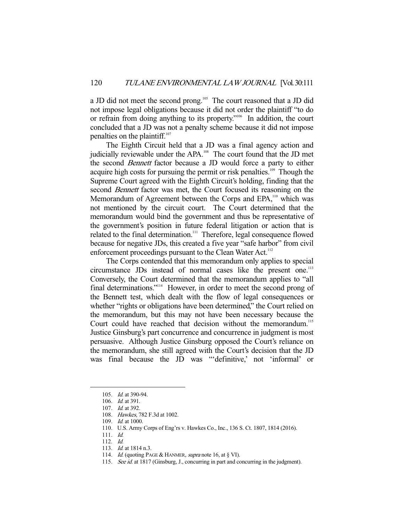a JD did not meet the second prong.<sup>105</sup> The court reasoned that a JD did not impose legal obligations because it did not order the plaintiff "to do or refrain from doing anything to its property."<sup>106</sup> In addition, the court concluded that a JD was not a penalty scheme because it did not impose penalties on the plaintiff.<sup>107</sup>

 The Eighth Circuit held that a JD was a final agency action and judicially reviewable under the APA.<sup>108</sup> The court found that the JD met the second Bennett factor because a JD would force a party to either acquire high costs for pursuing the permit or risk penalties.<sup>109</sup> Though the Supreme Court agreed with the Eighth Circuit's holding, finding that the second Bennett factor was met, the Court focused its reasoning on the Memorandum of Agreement between the Corps and EPA,<sup>110</sup> which was not mentioned by the circuit court. The Court determined that the memorandum would bind the government and thus be representative of the government's position in future federal litigation or action that is related to the final determination.<sup>111</sup> Therefore, legal consequence flowed because for negative JDs, this created a five year "safe harbor" from civil enforcement proceedings pursuant to the Clean Water Act.<sup>112</sup>

 The Corps contended that this memorandum only applies to special circumstance JDs instead of normal cases like the present one.<sup>113</sup> Conversely, the Court determined that the memorandum applies to "all final determinations."114 However, in order to meet the second prong of the Bennett test, which dealt with the flow of legal consequences or whether "rights or obligations have been determined," the Court relied on the memorandum, but this may not have been necessary because the Court could have reached that decision without the memorandum.<sup>115</sup> Justice Ginsburg's part concurrence and concurrence in judgment is most persuasive. Although Justice Ginsburg opposed the Court's reliance on the memorandum, she still agreed with the Court's decision that the JD was final because the JD was "'definitive,' not 'informal' or

- 112. Id.
- 113. *Id.* at 1814 n.3.

 <sup>105.</sup> Id. at 390-94.

 <sup>106.</sup> Id. at 391.

 <sup>107.</sup> Id. at 392.

 <sup>108.</sup> Hawkes, 782 F.3d at 1002.

 <sup>109.</sup> Id. at 1000.

 <sup>110.</sup> U.S. Army Corps of Eng'rs v. Hawkes Co., Inc., 136 S. Ct. 1807, 1814 (2016).

 <sup>111.</sup> Id.

<sup>114.</sup> *Id.* (quoting PAGE & HANMER, *supra* note 16, at § VI).

<sup>115.</sup> See id. at 1817 (Ginsburg, J., concurring in part and concurring in the judgment).